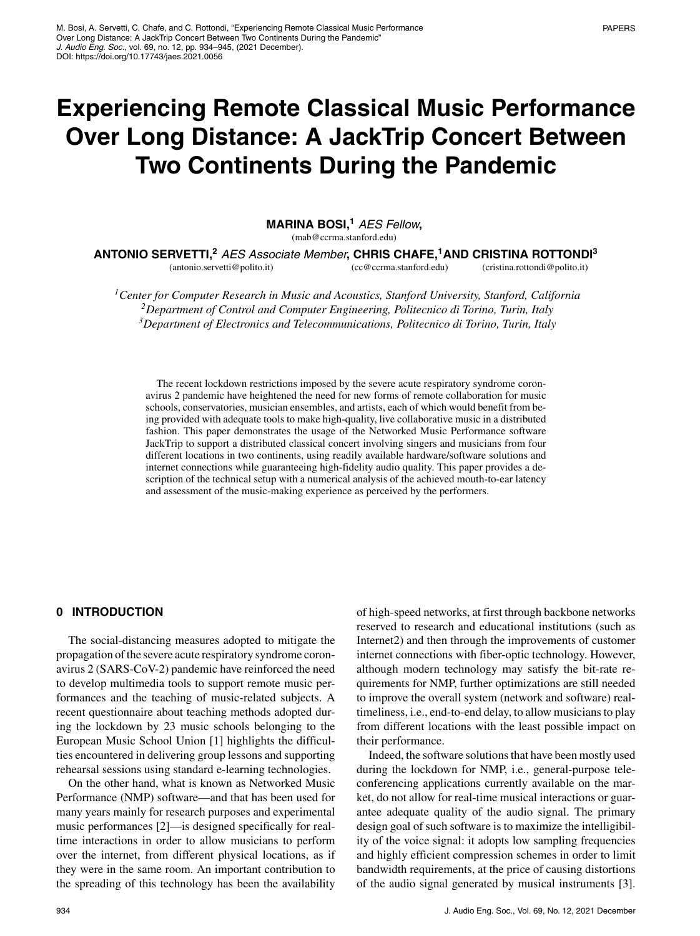# **Experiencing Remote Classical Music Performance Over Long Distance: A JackTrip Concert Between Two Continents During the Pandemic**

**MARINA BOSI,<sup>1</sup>** *AES Fellow* **,**

(mab@ccrma.stanford.edu)

**ANTONIO SERVETTI,<sup>2</sup>** *AES Associate Member* **, CHRIS CHAFE,<sup>1</sup> AND CRISTINA ROTTONDI<sup>3</sup>**

(antonio.servetti@polito.it) (cc@ccrma.stanford.edu) (cristina.rottondi@polito.it)

*1Center for Computer Research in Music and Acoustics, Stanford University, Stanford, California 2Department of Control and Computer Engineering, Politecnico di Torino, Turin, Italy 3Department of Electronics and Telecommunications, Politecnico di Torino, Turin, Italy*

The recent lockdown restrictions imposed by the severe acute respiratory syndrome coronavirus 2 pandemic have heightened the need for new forms of remote collaboration for music schools, conservatories, musician ensembles, and artists, each of which would benefit from being provided with adequate tools to make high-quality, live collaborative music in a distributed fashion. This paper demonstrates the usage of the Networked Music Performance software JackTrip to support a distributed classical concert involving singers and musicians from four different locations in two continents, using readily available hardware/software solutions and internet connections while guaranteeing high-fidelity audio quality. This paper provides a description of the technical setup with a numerical analysis of the achieved mouth-to-ear latency and assessment of the music-making experience as perceived by the performers.

## **0 INTRODUCTION**

The social-distancing measures adopted to mitigate the propagation of the severe acute respiratory syndrome coronavirus 2 (SARS-CoV-2) pandemic have reinforced the need to develop multimedia tools to support remote music performances and the teaching of music-related subjects. A recent questionnaire about teaching methods adopted during the lockdown by 23 music schools belonging to the European Music School Union [1] highlights the difficulties encountered in delivering group lessons and supporting rehearsal sessions using standard e-learning technologies.

On the other hand, what is known as Networked Music Performance (NMP) software—and that has been used for many years mainly for research purposes and experimental music performances [2]—is designed specifically for realtime interactions in order to allow musicians to perform over the internet, from different physical locations, as if they were in the same room. An important contribution to the spreading of this technology has been the availability

of high-speed networks, at first through backbone networks reserved to research and educational institutions (such as Internet2) and then through the improvements of customer internet connections with fiber-optic technology. However, although modern technology may satisfy the bit-rate requirements for NMP, further optimizations are still needed to improve the overall system (network and software) realtimeliness, i.e., end-to-end delay, to allow musicians to play from different locations with the least possible impact on their performance.

Indeed, the software solutions that have been mostly used during the lockdown for NMP, i.e., general-purpose teleconferencing applications currently available on the market, do not allow for real-time musical interactions or guarantee adequate quality of the audio signal. The primary design goal of such software is to maximize the intelligibility of the voice signal: it adopts low sampling frequencies and highly efficient compression schemes in order to limit bandwidth requirements, at the price of causing distortions of the audio signal generated by musical instruments [3].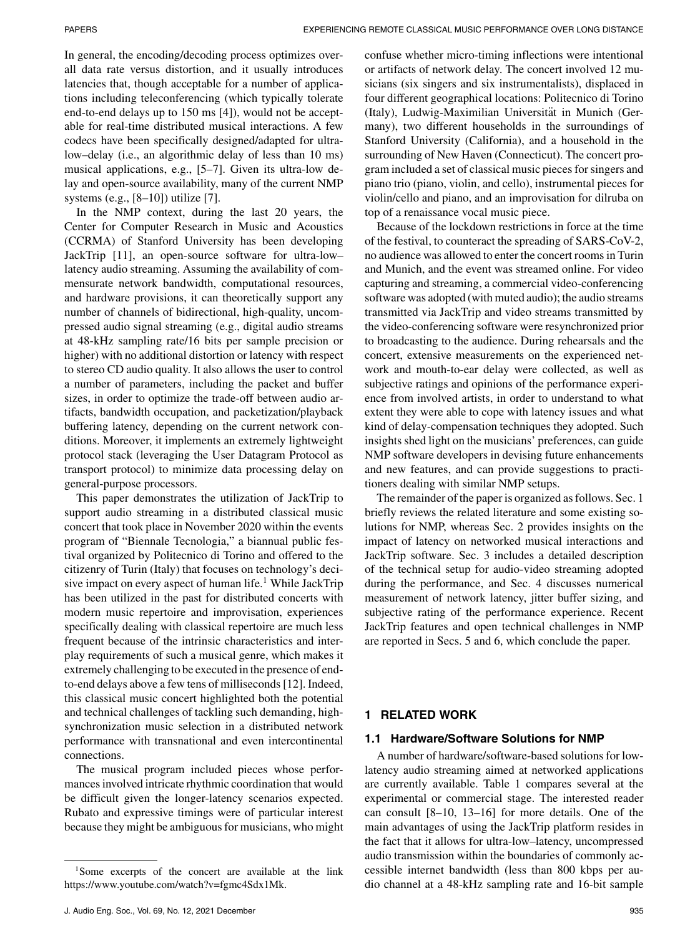In general, the encoding/decoding process optimizes overall data rate versus distortion, and it usually introduces latencies that, though acceptable for a number of applications including teleconferencing (which typically tolerate end-to-end delays up to 150 ms [4]), would not be acceptable for real-time distributed musical interactions. A few codecs have been specifically designed/adapted for ultralow–delay (i.e., an algorithmic delay of less than 10 ms) musical applications, e.g., [5–7]. Given its ultra-low delay and open-source availability, many of the current NMP systems (e.g., [8–10]) utilize [7].

In the NMP context, during the last 20 years, the Center for Computer Research in Music and Acoustics (CCRMA) of Stanford University has been developing JackTrip [11], an open-source software for ultra-low– latency audio streaming. Assuming the availability of commensurate network bandwidth, computational resources, and hardware provisions, it can theoretically support any number of channels of bidirectional, high-quality, uncompressed audio signal streaming (e.g., digital audio streams at 48-kHz sampling rate/16 bits per sample precision or higher) with no additional distortion or latency with respect to stereo CD audio quality. It also allows the user to control a number of parameters, including the packet and buffer sizes, in order to optimize the trade-off between audio artifacts, bandwidth occupation, and packetization/playback buffering latency, depending on the current network conditions. Moreover, it implements an extremely lightweight protocol stack (leveraging the User Datagram Protocol as transport protocol) to minimize data processing delay on general-purpose processors.

This paper demonstrates the utilization of JackTrip to support audio streaming in a distributed classical music concert that took place in November 2020 within the events program of "Biennale Tecnologia," a biannual public festival organized by Politecnico di Torino and offered to the citizenry of Turin (Italy) that focuses on technology's decisive impact on every aspect of human life.<sup>1</sup> While JackTrip has been utilized in the past for distributed concerts with modern music repertoire and improvisation, experiences specifically dealing with classical repertoire are much less frequent because of the intrinsic characteristics and interplay requirements of such a musical genre, which makes it extremely challenging to be executed in the presence of endto-end delays above a few tens of milliseconds [12]. Indeed, this classical music concert highlighted both the potential and technical challenges of tackling such demanding, highsynchronization music selection in a distributed network performance with transnational and even intercontinental connections.

The musical program included pieces whose performances involved intricate rhythmic coordination that would be difficult given the longer-latency scenarios expected. Rubato and expressive timings were of particular interest because they might be ambiguous for musicians, who might confuse whether micro-timing inflections were intentional or artifacts of network delay. The concert involved 12 musicians (six singers and six instrumentalists), displaced in four different geographical locations: Politecnico di Torino (Italy), Ludwig-Maximilian Universität in Munich (Germany), two different households in the surroundings of Stanford University (California), and a household in the surrounding of New Haven (Connecticut). The concert program included a set of classical music pieces for singers and piano trio (piano, violin, and cello), instrumental pieces for violin/cello and piano, and an improvisation for dilruba on top of a renaissance vocal music piece.

Because of the lockdown restrictions in force at the time of the festival, to counteract the spreading of SARS-CoV-2, no audience was allowed to enter the concert rooms in Turin and Munich, and the event was streamed online. For video capturing and streaming, a commercial video-conferencing software was adopted (with muted audio); the audio streams transmitted via JackTrip and video streams transmitted by the video-conferencing software were resynchronized prior to broadcasting to the audience. During rehearsals and the concert, extensive measurements on the experienced network and mouth-to-ear delay were collected, as well as subjective ratings and opinions of the performance experience from involved artists, in order to understand to what extent they were able to cope with latency issues and what kind of delay-compensation techniques they adopted. Such insights shed light on the musicians' preferences, can guide NMP software developers in devising future enhancements and new features, and can provide suggestions to practitioners dealing with similar NMP setups.

The remainder of the paper is organized as follows. Sec. 1 briefly reviews the related literature and some existing solutions for NMP, whereas Sec. 2 provides insights on the impact of latency on networked musical interactions and JackTrip software. Sec. 3 includes a detailed description of the technical setup for audio-video streaming adopted during the performance, and Sec. 4 discusses numerical measurement of network latency, jitter buffer sizing, and subjective rating of the performance experience. Recent JackTrip features and open technical challenges in NMP are reported in Secs. 5 and 6, which conclude the paper.

# **1 RELATED WORK**

### **1.1 Hardware/Software Solutions for NMP**

A number of hardware/software-based solutions for lowlatency audio streaming aimed at networked applications are currently available. Table 1 compares several at the experimental or commercial stage. The interested reader can consult [8–10, 13–16] for more details. One of the main advantages of using the JackTrip platform resides in the fact that it allows for ultra-low–latency, uncompressed audio transmission within the boundaries of commonly accessible internet bandwidth (less than 800 kbps per audio channel at a 48-kHz sampling rate and 16-bit sample

<sup>&</sup>lt;sup>1</sup>Some excerpts of the concert are available at the link [https://www.youtube.com/watch?v=fgmc4Sdx1Mk.](https://www.youtube.com/watch?v=fgmc4Sdx1Mk)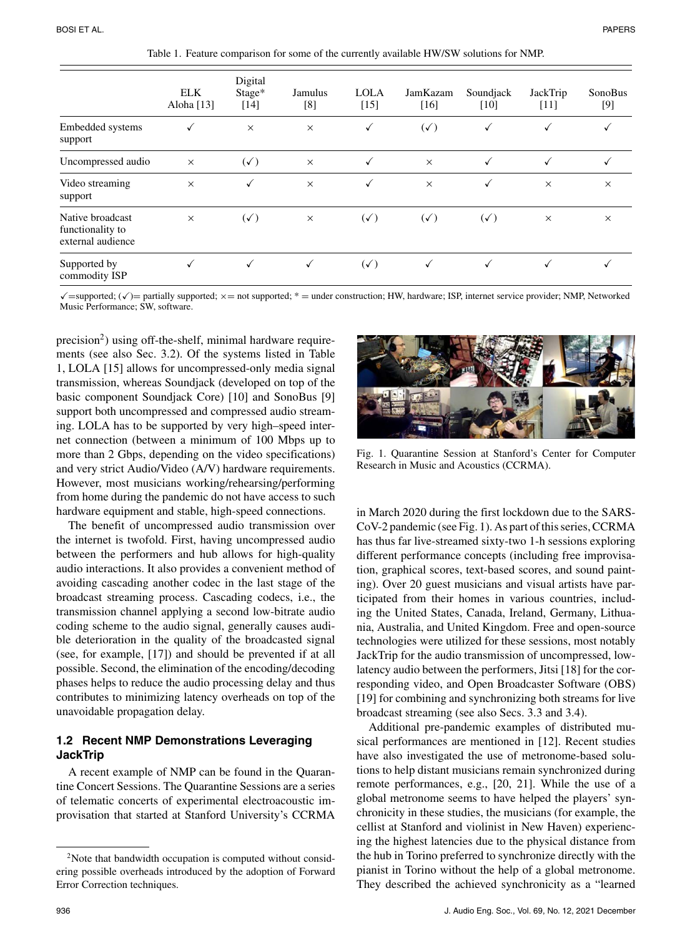|                                                           | <b>ELK</b><br>Aloha [13] | Digital<br>Stage*<br>$[14]$ | Jamulus<br>[8] | <b>LOLA</b><br>$[15]$ | JamKazam<br>$[16]$ | Soundjack<br>$[10]$ | JackTrip<br>$[11]$ | SonoBus<br>$[9]$ |
|-----------------------------------------------------------|--------------------------|-----------------------------|----------------|-----------------------|--------------------|---------------------|--------------------|------------------|
| Embedded systems<br>support                               |                          | $\times$                    | $\times$       | ✓                     | $(\sqrt{ } )$      |                     | ✓                  |                  |
| Uncompressed audio                                        | $\times$                 | $(\sqrt{ } )$               | $\times$       | ✓                     | $\times$           | ✓                   | ✓                  | √                |
| Video streaming<br>support                                | $\times$                 | ✓                           | $\times$       | √                     | $\times$           | ✓                   | $\times$           | $\times$         |
| Native broadcast<br>functionality to<br>external audience | $\times$                 | $(\checkmark)$              | $\times$       | $(\sqrt{2})$          | $(\checkmark)$     | $(\sqrt{ } )$       | $\times$           | $\times$         |
| Supported by<br>commodity ISP                             | √                        | $\checkmark$                | $\checkmark$   | $(\checkmark)$        |                    |                     |                    |                  |

Table 1. Feature comparison for some of the currently available HW/SW solutions for NMP.

 $\checkmark$  = supported;  $(\checkmark)$  = partially supported;  $\times$  = not supported; \* = under construction; HW, hardware; ISP, internet service provider; NMP, Networked Music Performance; SW, software.

 $precision<sup>2</sup>$ ) using off-the-shelf, minimal hardware requirements (see also Sec. 3.2). Of the systems listed in Table 1, LOLA [15] allows for uncompressed-only media signal transmission, whereas Soundjack (developed on top of the basic component Soundjack Core) [10] and SonoBus [9] support both uncompressed and compressed audio streaming. LOLA has to be supported by very high–speed internet connection (between a minimum of 100 Mbps up to more than 2 Gbps, depending on the video specifications) and very strict Audio/Video (A/V) hardware requirements. However, most musicians working/rehearsing/performing from home during the pandemic do not have access to such hardware equipment and stable, high-speed connections.

The benefit of uncompressed audio transmission over the internet is twofold. First, having uncompressed audio between the performers and hub allows for high-quality audio interactions. It also provides a convenient method of avoiding cascading another codec in the last stage of the broadcast streaming process. Cascading codecs, i.e., the transmission channel applying a second low-bitrate audio coding scheme to the audio signal, generally causes audible deterioration in the quality of the broadcasted signal (see, for example, [17]) and should be prevented if at all possible. Second, the elimination of the encoding/decoding phases helps to reduce the audio processing delay and thus contributes to minimizing latency overheads on top of the unavoidable propagation delay.

## **1.2 Recent NMP Demonstrations Leveraging JackTrip**

A recent example of NMP can be found in the Quarantine Concert Sessions. The Quarantine Sessions are a series of telematic concerts of experimental electroacoustic improvisation that started at Stanford University's CCRMA



Fig. 1. Quarantine Session at Stanford's Center for Computer Research in Music and Acoustics (CCRMA).

in March 2020 during the first lockdown due to the SARS-CoV-2 pandemic (see Fig. 1). As part of this series, CCRMA has thus far live-streamed sixty-two 1-h sessions exploring different performance concepts (including free improvisation, graphical scores, text-based scores, and sound painting). Over 20 guest musicians and visual artists have participated from their homes in various countries, including the United States, Canada, Ireland, Germany, Lithuania, Australia, and United Kingdom. Free and open-source technologies were utilized for these sessions, most notably JackTrip for the audio transmission of uncompressed, lowlatency audio between the performers, Jitsi [18] for the corresponding video, and Open Broadcaster Software (OBS) [19] for combining and synchronizing both streams for live broadcast streaming (see also Secs. 3.3 and 3.4).

Additional pre-pandemic examples of distributed musical performances are mentioned in [12]. Recent studies have also investigated the use of metronome-based solutions to help distant musicians remain synchronized during remote performances, e.g., [20, 21]. While the use of a global metronome seems to have helped the players' synchronicity in these studies, the musicians (for example, the cellist at Stanford and violinist in New Haven) experiencing the highest latencies due to the physical distance from the hub in Torino preferred to synchronize directly with the pianist in Torino without the help of a global metronome. They described the achieved synchronicity as a "learned

 $2$ Note that bandwidth occupation is computed without considering possible overheads introduced by the adoption of Forward Error Correction techniques.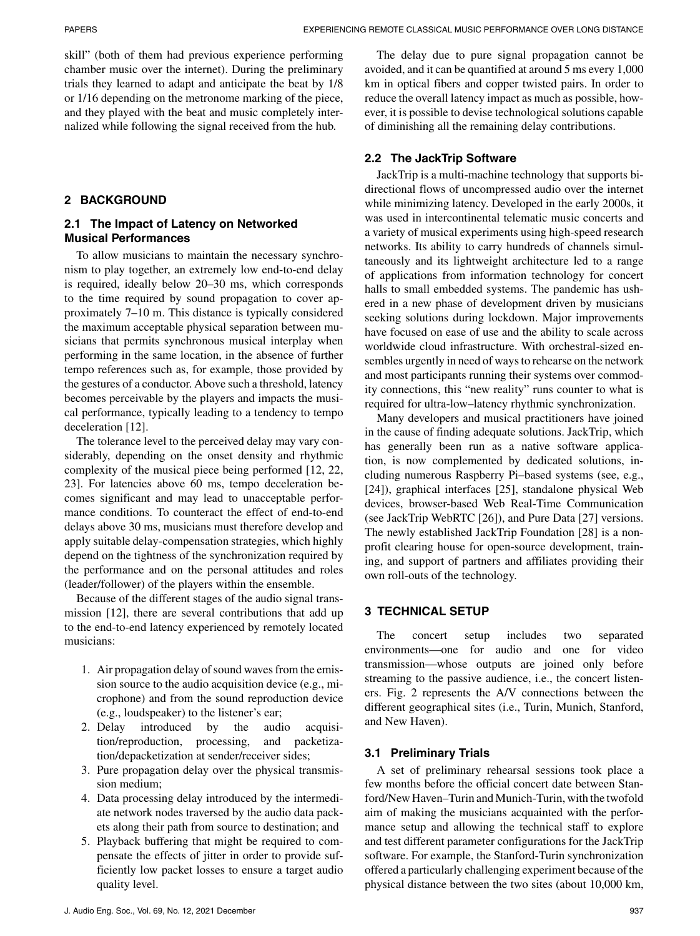skill" (both of them had previous experience performing chamber music over the internet). During the preliminary trials they learned to adapt and anticipate the beat by 1/8 or 1/16 depending on the metronome marking of the piece, and they played with the beat and music completely internalized while following the signal received from the hub.

# **2 BACKGROUND**

# **2.1 The Impact of Latency on Networked Musical Performances**

To allow musicians to maintain the necessary synchronism to play together, an extremely low end-to-end delay is required, ideally below 20–30 ms, which corresponds to the time required by sound propagation to cover approximately 7–10 m. This distance is typically considered the maximum acceptable physical separation between musicians that permits synchronous musical interplay when performing in the same location, in the absence of further tempo references such as, for example, those provided by the gestures of a conductor. Above such a threshold, latency becomes perceivable by the players and impacts the musical performance, typically leading to a tendency to tempo deceleration [12].

The tolerance level to the perceived delay may vary considerably, depending on the onset density and rhythmic complexity of the musical piece being performed [12, 22, 23]. For latencies above 60 ms, tempo deceleration becomes significant and may lead to unacceptable performance conditions. To counteract the effect of end-to-end delays above 30 ms, musicians must therefore develop and apply suitable delay-compensation strategies, which highly depend on the tightness of the synchronization required by the performance and on the personal attitudes and roles (leader/follower) of the players within the ensemble.

Because of the different stages of the audio signal transmission [12], there are several contributions that add up to the end-to-end latency experienced by remotely located musicians:

- 1. Air propagation delay of sound waves from the emission source to the audio acquisition device (e.g., microphone) and from the sound reproduction device (e.g., loudspeaker) to the listener's ear;
- 2. Delay introduced by the audio acquisition/reproduction, processing, and packetization/depacketization at sender/receiver sides;
- 3. Pure propagation delay over the physical transmission medium;
- 4. Data processing delay introduced by the intermediate network nodes traversed by the audio data packets along their path from source to destination; and
- 5. Playback buffering that might be required to compensate the effects of jitter in order to provide sufficiently low packet losses to ensure a target audio quality level.

The delay due to pure signal propagation cannot be avoided, and it can be quantified at around 5 ms every 1,000 km in optical fibers and copper twisted pairs. In order to reduce the overall latency impact as much as possible, however, it is possible to devise technological solutions capable of diminishing all the remaining delay contributions.

# **2.2 The JackTrip Software**

JackTrip is a multi-machine technology that supports bidirectional flows of uncompressed audio over the internet while minimizing latency. Developed in the early 2000s, it was used in intercontinental telematic music concerts and a variety of musical experiments using high-speed research networks. Its ability to carry hundreds of channels simultaneously and its lightweight architecture led to a range of applications from information technology for concert halls to small embedded systems. The pandemic has ushered in a new phase of development driven by musicians seeking solutions during lockdown. Major improvements have focused on ease of use and the ability to scale across worldwide cloud infrastructure. With orchestral-sized ensembles urgently in need of ways to rehearse on the network and most participants running their systems over commodity connections, this "new reality" runs counter to what is required for ultra-low–latency rhythmic synchronization.

Many developers and musical practitioners have joined in the cause of finding adequate solutions. JackTrip, which has generally been run as a native software application, is now complemented by dedicated solutions, including numerous Raspberry Pi–based systems (see, e.g., [24]), graphical interfaces [25], standalone physical Web devices, browser-based Web Real-Time Communication (see JackTrip WebRTC [26]), and Pure Data [27] versions. The newly established JackTrip Foundation [28] is a nonprofit clearing house for open-source development, training, and support of partners and affiliates providing their own roll-outs of the technology.

# **3 TECHNICAL SETUP**

The concert setup includes two separated environments—one for audio and one for video transmission—whose outputs are joined only before streaming to the passive audience, i.e., the concert listeners. Fig. 2 represents the A/V connections between the different geographical sites (i.e., Turin, Munich, Stanford, and New Haven).

# **3.1 Preliminary Trials**

A set of preliminary rehearsal sessions took place a few months before the official concert date between Stanford/New Haven–Turin and Munich-Turin, with the twofold aim of making the musicians acquainted with the performance setup and allowing the technical staff to explore and test different parameter configurations for the JackTrip software. For example, the Stanford-Turin synchronization offered a particularly challenging experiment because of the physical distance between the two sites (about 10,000 km,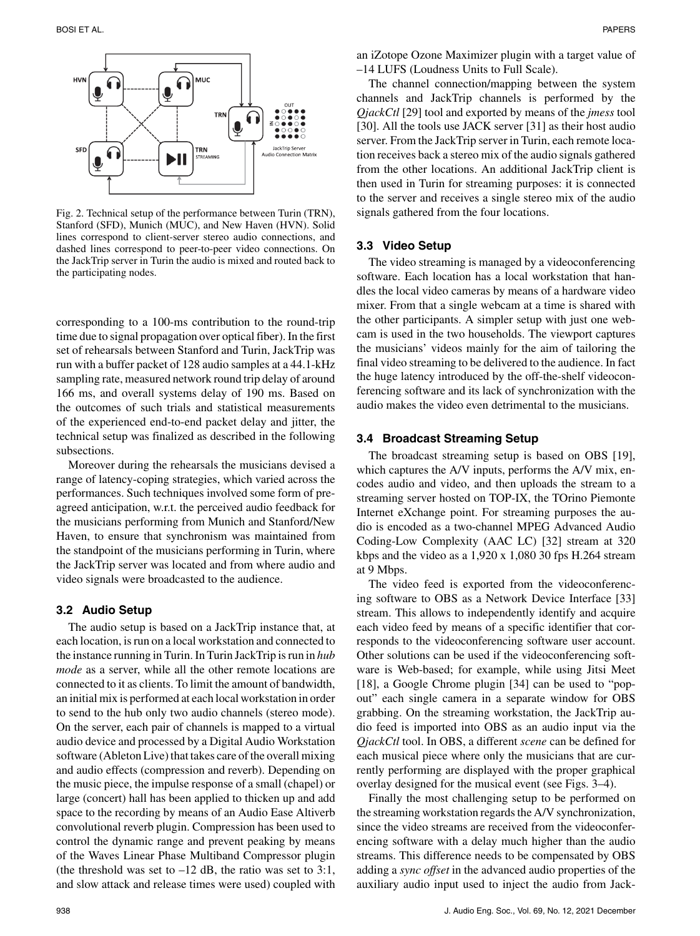

Fig. 2. Technical setup of the performance between Turin (TRN), Stanford (SFD), Munich (MUC), and New Haven (HVN). Solid lines correspond to client-server stereo audio connections, and dashed lines correspond to peer-to-peer video connections. On the JackTrip server in Turin the audio is mixed and routed back to the participating nodes.

corresponding to a 100-ms contribution to the round-trip time due to signal propagation over optical fiber). In the first set of rehearsals between Stanford and Turin, JackTrip was run with a buffer packet of 128 audio samples at a 44.1-kHz sampling rate, measured network round trip delay of around 166 ms, and overall systems delay of 190 ms. Based on the outcomes of such trials and statistical measurements of the experienced end-to-end packet delay and jitter, the technical setup was finalized as described in the following subsections.

Moreover during the rehearsals the musicians devised a range of latency-coping strategies, which varied across the performances. Such techniques involved some form of preagreed anticipation, w.r.t. the perceived audio feedback for the musicians performing from Munich and Stanford/New Haven, to ensure that synchronism was maintained from the standpoint of the musicians performing in Turin, where the JackTrip server was located and from where audio and video signals were broadcasted to the audience.

#### **3.2 Audio Setup**

The audio setup is based on a JackTrip instance that, at each location, is run on a local workstation and connected to the instance running in Turin. In Turin JackTrip is run in *hub mode* as a server, while all the other remote locations are connected to it as clients. To limit the amount of bandwidth, an initial mix is performed at each local workstation in order to send to the hub only two audio channels (stereo mode). On the server, each pair of channels is mapped to a virtual audio device and processed by a Digital Audio Workstation software (Ableton Live) that takes care of the overall mixing and audio effects (compression and reverb). Depending on the music piece, the impulse response of a small (chapel) or large (concert) hall has been applied to thicken up and add space to the recording by means of an Audio Ease Altiverb convolutional reverb plugin. Compression has been used to control the dynamic range and prevent peaking by means of the Waves Linear Phase Multiband Compressor plugin (the threshold was set to  $-12$  dB, the ratio was set to 3:1, and slow attack and release times were used) coupled with

an iZotope Ozone Maximizer plugin with a target value of –14 LUFS (Loudness Units to Full Scale).

The channel connection/mapping between the system channels and JackTrip channels is performed by the *QjackCtl* [29] tool and exported by means of the *jmess* tool [30]. All the tools use JACK server [31] as their host audio server. From the JackTrip server in Turin, each remote location receives back a stereo mix of the audio signals gathered from the other locations. An additional JackTrip client is then used in Turin for streaming purposes: it is connected to the server and receives a single stereo mix of the audio signals gathered from the four locations.

#### **3.3 Video Setup**

The video streaming is managed by a videoconferencing software. Each location has a local workstation that handles the local video cameras by means of a hardware video mixer. From that a single webcam at a time is shared with the other participants. A simpler setup with just one webcam is used in the two households. The viewport captures the musicians' videos mainly for the aim of tailoring the final video streaming to be delivered to the audience. In fact the huge latency introduced by the off-the-shelf videoconferencing software and its lack of synchronization with the audio makes the video even detrimental to the musicians.

#### **3.4 Broadcast Streaming Setup**

The broadcast streaming setup is based on OBS [19], which captures the A/V inputs, performs the A/V mix, encodes audio and video, and then uploads the stream to a streaming server hosted on TOP-IX, the TOrino Piemonte Internet eXchange point. For streaming purposes the audio is encoded as a two-channel MPEG Advanced Audio Coding-Low Complexity (AAC LC) [32] stream at 320 kbps and the video as a 1,920 x 1,080 30 fps H.264 stream at 9 Mbps.

The video feed is exported from the videoconferencing software to OBS as a Network Device Interface [33] stream. This allows to independently identify and acquire each video feed by means of a specific identifier that corresponds to the videoconferencing software user account. Other solutions can be used if the videoconferencing software is Web-based; for example, while using Jitsi Meet [18], a Google Chrome plugin [34] can be used to "popout" each single camera in a separate window for OBS grabbing. On the streaming workstation, the JackTrip audio feed is imported into OBS as an audio input via the *QjackCtl* tool. In OBS, a different *scene* can be defined for each musical piece where only the musicians that are currently performing are displayed with the proper graphical overlay designed for the musical event (see Figs. 3–4).

Finally the most challenging setup to be performed on the streaming workstation regards the A/V synchronization, since the video streams are received from the videoconferencing software with a delay much higher than the audio streams. This difference needs to be compensated by OBS adding a *sync offset* in the advanced audio properties of the auxiliary audio input used to inject the audio from Jack-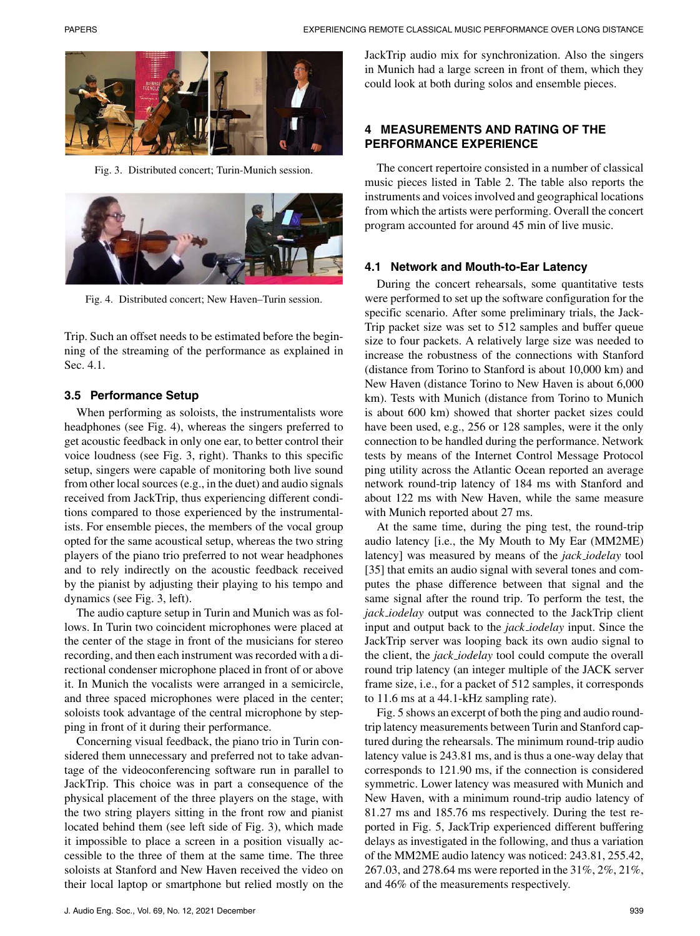

Fig. 3. Distributed concert; Turin-Munich session.



Fig. 4. Distributed concert; New Haven–Turin session.

Trip. Such an offset needs to be estimated before the beginning of the streaming of the performance as explained in Sec. 4.1.

#### **3.5 Performance Setup**

When performing as soloists, the instrumentalists wore headphones (see Fig. 4), whereas the singers preferred to get acoustic feedback in only one ear, to better control their voice loudness (see Fig. 3, right). Thanks to this specific setup, singers were capable of monitoring both live sound from other local sources (e.g., in the duet) and audio signals received from JackTrip, thus experiencing different conditions compared to those experienced by the instrumentalists. For ensemble pieces, the members of the vocal group opted for the same acoustical setup, whereas the two string players of the piano trio preferred to not wear headphones and to rely indirectly on the acoustic feedback received by the pianist by adjusting their playing to his tempo and dynamics (see Fig. 3, left).

The audio capture setup in Turin and Munich was as follows. In Turin two coincident microphones were placed at the center of the stage in front of the musicians for stereo recording, and then each instrument was recorded with a directional condenser microphone placed in front of or above it. In Munich the vocalists were arranged in a semicircle, and three spaced microphones were placed in the center; soloists took advantage of the central microphone by stepping in front of it during their performance.

Concerning visual feedback, the piano trio in Turin considered them unnecessary and preferred not to take advantage of the videoconferencing software run in parallel to JackTrip. This choice was in part a consequence of the physical placement of the three players on the stage, with the two string players sitting in the front row and pianist located behind them (see left side of Fig. 3), which made it impossible to place a screen in a position visually accessible to the three of them at the same time. The three soloists at Stanford and New Haven received the video on their local laptop or smartphone but relied mostly on the JackTrip audio mix for synchronization. Also the singers in Munich had a large screen in front of them, which they could look at both during solos and ensemble pieces.

# **4 MEASUREMENTS AND RATING OF THE PERFORMANCE EXPERIENCE**

The concert repertoire consisted in a number of classical music pieces listed in Table 2. The table also reports the instruments and voices involved and geographical locations from which the artists were performing. Overall the concert program accounted for around 45 min of live music.

#### **4.1 Network and Mouth-to-Ear Latency**

During the concert rehearsals, some quantitative tests were performed to set up the software configuration for the specific scenario. After some preliminary trials, the Jack-Trip packet size was set to 512 samples and buffer queue size to four packets. A relatively large size was needed to increase the robustness of the connections with Stanford (distance from Torino to Stanford is about 10,000 km) and New Haven (distance Torino to New Haven is about 6,000 km). Tests with Munich (distance from Torino to Munich is about 600 km) showed that shorter packet sizes could have been used, e.g., 256 or 128 samples, were it the only connection to be handled during the performance. Network tests by means of the Internet Control Message Protocol ping utility across the Atlantic Ocean reported an average network round-trip latency of 184 ms with Stanford and about 122 ms with New Haven, while the same measure with Munich reported about 27 ms.

At the same time, during the ping test, the round-trip audio latency [i.e., the My Mouth to My Ear (MM2ME) latency] was measured by means of the *jack iodelay* tool [35] that emits an audio signal with several tones and computes the phase difference between that signal and the same signal after the round trip. To perform the test, the *jack iodelay* output was connected to the JackTrip client input and output back to the *jack iodelay* input. Since the JackTrip server was looping back its own audio signal to the client, the *jack iodelay* tool could compute the overall round trip latency (an integer multiple of the JACK server frame size, i.e., for a packet of 512 samples, it corresponds to 11.6 ms at a 44.1-kHz sampling rate).

Fig. 5 shows an excerpt of both the ping and audio roundtrip latency measurements between Turin and Stanford captured during the rehearsals. The minimum round-trip audio latency value is 243.81 ms, and is thus a one-way delay that corresponds to 121.90 ms, if the connection is considered symmetric. Lower latency was measured with Munich and New Haven, with a minimum round-trip audio latency of 81.27 ms and 185.76 ms respectively. During the test reported in Fig. 5, JackTrip experienced different buffering delays as investigated in the following, and thus a variation of the MM2ME audio latency was noticed: 243.81, 255.42, 267.03, and 278.64 ms were reported in the 31%, 2%, 21%, and 46% of the measurements respectively.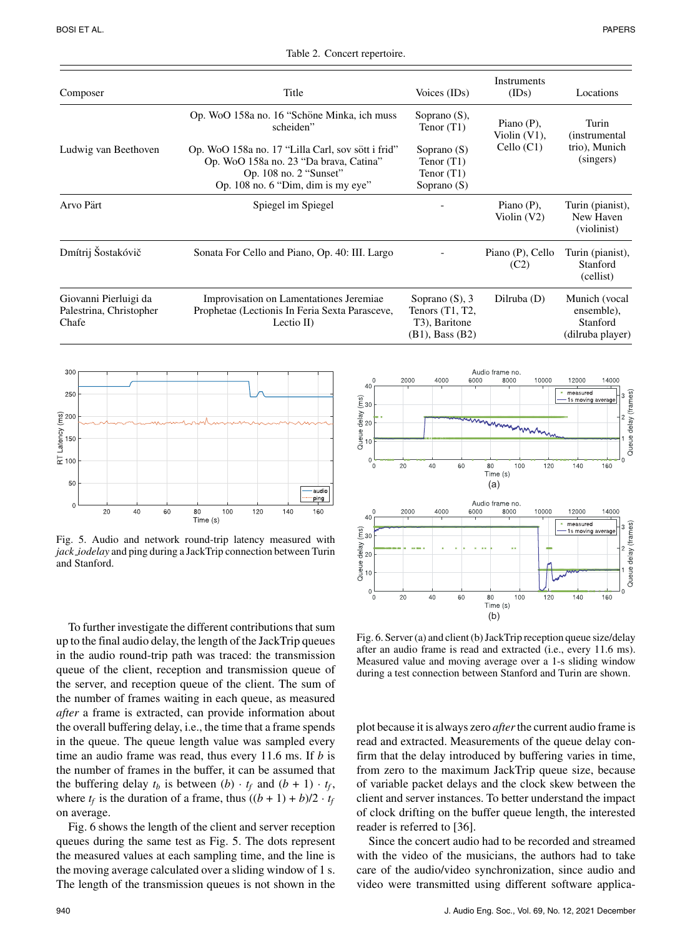| Title                                                                                                      | Voices (IDs)                                                                                 | Instruments<br>(IDs)                                                                           | Locations                                                   |
|------------------------------------------------------------------------------------------------------------|----------------------------------------------------------------------------------------------|------------------------------------------------------------------------------------------------|-------------------------------------------------------------|
| Op. WoO 158a no. 16 "Schöne Minka, ich muss<br>scheiden"                                                   | Soprano $(S)$ ,<br>Tenor $(T1)$                                                              | Piano $(P)$ ,                                                                                  | Turin<br><i>(instrumental)</i>                              |
| Op. WoO 158a no. 17 "Lilla Carl, sov sött i frid"<br>Op. WoO 158a no. 23 "Da brava, Catina"                | Soprano $(S)$<br>Tenor $(T1)$                                                                | Cello (C1)                                                                                     | trio), Munich<br>(singers)                                  |
| Op. 108 no. 6 "Dim, dim is my eye"                                                                         | Soprano $(S)$                                                                                | Violin $(V1)$ ,<br>Piano $(P)$ ,<br>Violin $(V2)$<br>Piano (P), Cello<br>(C2)<br>Dilruba $(D)$ |                                                             |
| Spiegel im Spiegel                                                                                         |                                                                                              |                                                                                                | Turin (pianist),<br>New Haven<br>(violinist)                |
| Sonata For Cello and Piano, Op. 40: III. Largo                                                             |                                                                                              |                                                                                                | Turin (pianist),<br>Stanford<br>(cellist)                   |
| Improvisation on Lamentationes Jeremiae<br>Prophetae (Lectionis In Feria Sexta Parasceve,<br>Lectio $II$ ) | Soprano $(S)$ , 3<br>Tenors $(T1, T2,$<br>T <sub>3</sub> ), Baritone<br>$(B1)$ , Bass $(B2)$ |                                                                                                | Munich (vocal<br>ensemble),<br>Stanford<br>(dilruba player) |
|                                                                                                            | Op. 108 no. 2 "Sunset"                                                                       | Tenor $(T1)$                                                                                   |                                                             |

Table 2. Concert repertoire.



Fig. 5. Audio and network round-trip latency measured with *jack iodelay* and ping during a JackTrip connection between Turin and Stanford.

To further investigate the different contributions that sum up to the final audio delay, the length of the JackTrip queues in the audio round-trip path was traced: the transmission queue of the client, reception and transmission queue of the server, and reception queue of the client. The sum of the number of frames waiting in each queue, as measured *after* a frame is extracted, can provide information about the overall buffering delay, i.e., the time that a frame spends in the queue. The queue length value was sampled every time an audio frame was read, thus every 11.6 ms. If *b* is the number of frames in the buffer, it can be assumed that the buffering delay  $t_b$  is between  $(b) \cdot t_f$  and  $(b + 1) \cdot t_f$ , where  $t_f$  is the duration of a frame, thus  $((b + 1) + b)/2 \cdot t_f$ on average.

Fig. 6 shows the length of the client and server reception queues during the same test as Fig. 5. The dots represent the measured values at each sampling time, and the line is the moving average calculated over a sliding window of 1 s. The length of the transmission queues is not shown in the

Latency



Fig. 6. Server (a) and client (b) JackTrip reception queue size/delay after an audio frame is read and extracted (i.e., every 11.6 ms). Measured value and moving average over a 1-s sliding window during a test connection between Stanford and Turin are shown.

plot because it is always zero *after*the current audio frame is read and extracted. Measurements of the queue delay confirm that the delay introduced by buffering varies in time, from zero to the maximum JackTrip queue size, because of variable packet delays and the clock skew between the client and server instances. To better understand the impact of clock drifting on the buffer queue length, the interested reader is referred to [36].

Since the concert audio had to be recorded and streamed with the video of the musicians, the authors had to take care of the audio/video synchronization, since audio and video were transmitted using different software applica-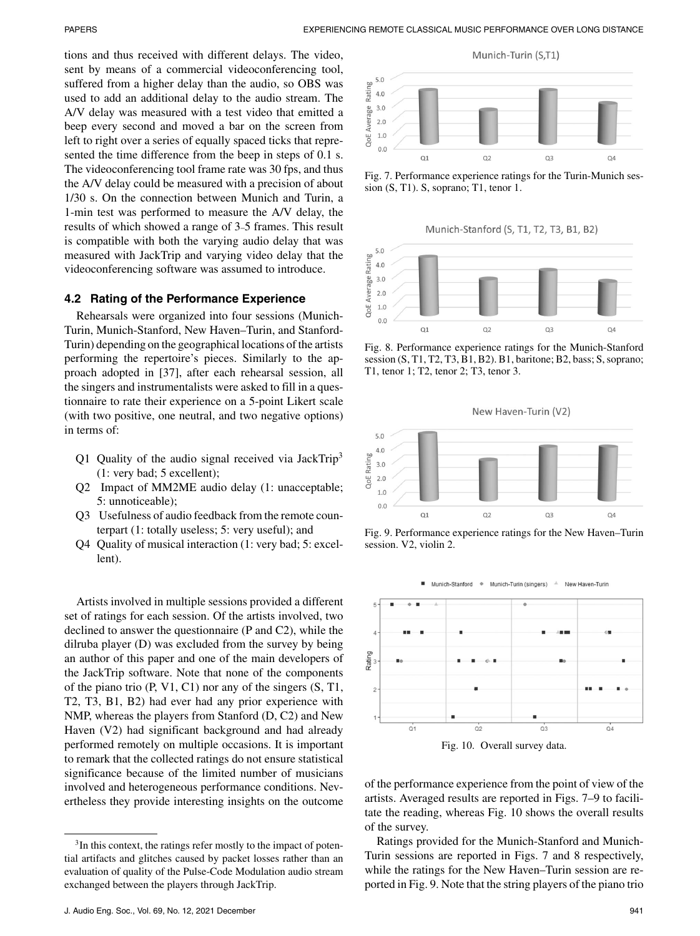tions and thus received with different delays. The video, sent by means of a commercial videoconferencing tool, suffered from a higher delay than the audio, so OBS was used to add an additional delay to the audio stream. The A/V delay was measured with a test video that emitted a beep every second and moved a bar on the screen from left to right over a series of equally spaced ticks that represented the time difference from the beep in steps of 0.1 s. The videoconferencing tool frame rate was 30 fps, and thus the A/V delay could be measured with a precision of about 1/30 s. On the connection between Munich and Turin, a 1-min test was performed to measure the A/V delay, the results of which showed a range of 3–5 frames. This result is compatible with both the varying audio delay that was measured with JackTrip and varying video delay that the videoconferencing software was assumed to introduce.

## **4.2 Rating of the Performance Experience**

Rehearsals were organized into four sessions (Munich-Turin, Munich-Stanford, New Haven–Turin, and Stanford-Turin) depending on the geographical locations of the artists performing the repertoire's pieces. Similarly to the approach adopted in [37], after each rehearsal session, all the singers and instrumentalists were asked to fill in a questionnaire to rate their experience on a 5-point Likert scale (with two positive, one neutral, and two negative options) in terms of:

- Q1 Quality of the audio signal received via JackTrip<sup>3</sup> (1: very bad; 5 excellent);
- Q2 Impact of MM2ME audio delay (1: unacceptable; 5: unnoticeable);
- Q3 Usefulness of audio feedback from the remote counterpart (1: totally useless; 5: very useful); and
- Q4 Quality of musical interaction (1: very bad; 5: excellent).

Artists involved in multiple sessions provided a different set of ratings for each session. Of the artists involved, two declined to answer the questionnaire (P and C2), while the dilruba player (D) was excluded from the survey by being an author of this paper and one of the main developers of the JackTrip software. Note that none of the components of the piano trio (P, V1, C1) nor any of the singers (S, T1, T2, T3, B1, B2) had ever had any prior experience with NMP, whereas the players from Stanford (D, C2) and New Haven (V2) had significant background and had already performed remotely on multiple occasions. It is important to remark that the collected ratings do not ensure statistical significance because of the limited number of musicians involved and heterogeneous performance conditions. Nevertheless they provide interesting insights on the outcome



Fig. 7. Performance experience ratings for the Turin-Munich session (S, T1). S, soprano; T1, tenor 1.

Munich-Stanford (S, T1, T2, T3, B1, B2)



Fig. 8. Performance experience ratings for the Munich-Stanford session (S, T1, T2, T3, B1, B2). B1, baritone; B2, bass; S, soprano; T1, tenor 1; T2, tenor 2; T3, tenor 3.

New Haven-Turin (V2)



Fig. 9. Performance experience ratings for the New Haven–Turin session. V2, violin 2.



Fig. 10. Overall survey data.

of the performance experience from the point of view of the artists. Averaged results are reported in Figs. 7–9 to facilitate the reading, whereas Fig. 10 shows the overall results of the survey.

Ratings provided for the Munich-Stanford and Munich-Turin sessions are reported in Figs. 7 and 8 respectively, while the ratings for the New Haven–Turin session are reported in Fig. 9. Note that the string players of the piano trio

<sup>&</sup>lt;sup>3</sup>In this context, the ratings refer mostly to the impact of potential artifacts and glitches caused by packet losses rather than an evaluation of quality of the Pulse-Code Modulation audio stream exchanged between the players through JackTrip.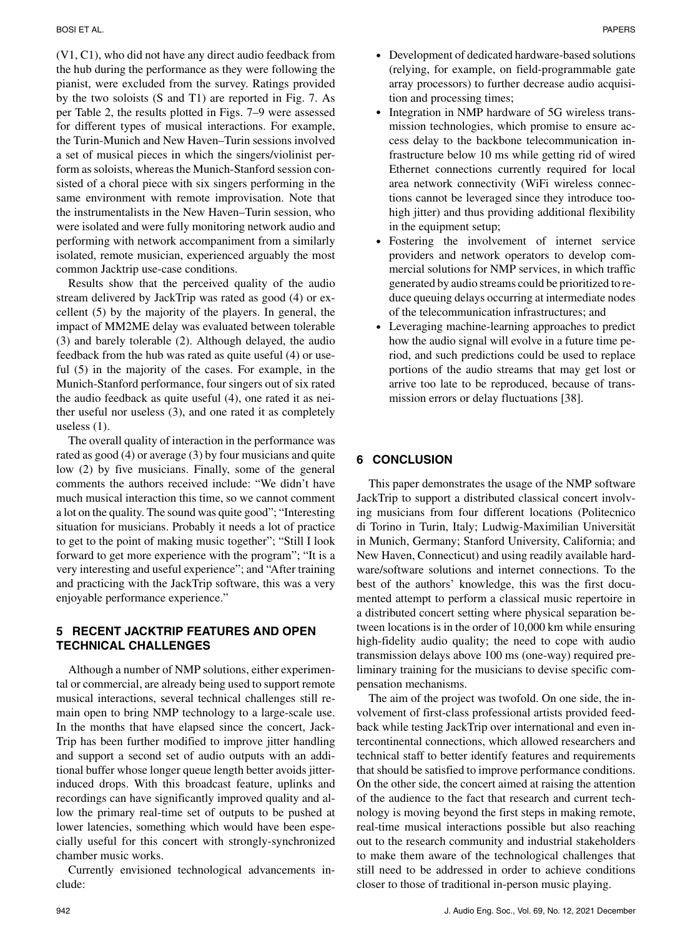(V1, C1), who did not have any direct audio feedback from the hub during the performance as they were following the pianist, were excluded from the survey. Ratings provided by the two soloists (S and T1) are reported in Fig. 7. As per Table 2, the results plotted in Figs. 7–9 were assessed for different types of musical interactions. For example, the Turin-Munich and New Haven–Turin sessions involved a set of musical pieces in which the singers/violinist perform as soloists, whereas the Munich-Stanford session consisted of a choral piece with six singers performing in the same environment with remote improvisation. Note that the instrumentalists in the New Haven–Turin session, who were isolated and were fully monitoring network audio and performing with network accompaniment from a similarly isolated, remote musician, experienced arguably the most common Jacktrip use-case conditions.

Results show that the perceived quality of the audio stream delivered by JackTrip was rated as good (4) or excellent (5) by the majority of the players. In general, the impact of MM2ME delay was evaluated between tolerable (3) and barely tolerable (2). Although delayed, the audio feedback from the hub was rated as quite useful (4) or useful (5) in the majority of the cases. For example, in the Munich-Stanford performance, four singers out of six rated the audio feedback as quite useful (4), one rated it as neither useful nor useless (3), and one rated it as completely useless (1).

The overall quality of interaction in the performance was rated as good (4) or average (3) by four musicians and quite low (2) by five musicians. Finally, some of the general comments the authors received include: "We didn't have much musical interaction this time, so we cannot comment a lot on the quality. The sound was quite good"; "Interesting situation for musicians. Probably it needs a lot of practice to get to the point of making music together"; "Still I look forward to get more experience with the program"; "It is a very interesting and useful experience"; and "After training and practicing with the JackTrip software, this was a very enjoyable performance experience."

# **5 RECENT JACKTRIP FEATURES AND OPEN TECHNICAL CHALLENGES**

Although a number of NMP solutions, either experimental or commercial, are already being used to support remote musical interactions, several technical challenges still remain open to bring NMP technology to a large-scale use. In the months that have elapsed since the concert, Jack-Trip has been further modified to improve jitter handling and support a second set of audio outputs with an additional buffer whose longer queue length better avoids jitterinduced drops. With this broadcast feature, uplinks and recordings can have significantly improved quality and allow the primary real-time set of outputs to be pushed at lower latencies, something which would have been especially useful for this concert with strongly-synchronized chamber music works.

Currently envisioned technological advancements include:

- Development of dedicated hardware-based solutions (relying, for example, on field-programmable gate array processors) to further decrease audio acquisition and processing times;
- Integration in NMP hardware of 5G wireless transmission technologies, which promise to ensure access delay to the backbone telecommunication infrastructure below 10 ms while getting rid of wired Ethernet connections currently required for local area network connectivity (WiFi wireless connections cannot be leveraged since they introduce toohigh jitter) and thus providing additional flexibility in the equipment setup;
- Fostering the involvement of internet service providers and network operators to develop commercial solutions for NMP services, in which traffic generated by audio streams could be prioritized to reduce queuing delays occurring at intermediate nodes of the telecommunication infrastructures; and
- Leveraging machine-learning approaches to predict how the audio signal will evolve in a future time period, and such predictions could be used to replace portions of the audio streams that may get lost or arrive too late to be reproduced, because of transmission errors or delay fluctuations [38].

## **6 CONCLUSION**

This paper demonstrates the usage of the NMP software JackTrip to support a distributed classical concert involving musicians from four different locations (Politecnico di Torino in Turin, Italy; Ludwig-Maximilian Universität in Munich, Germany; Stanford University, California; and New Haven, Connecticut) and using readily available hardware/software solutions and internet connections. To the best of the authors' knowledge, this was the first documented attempt to perform a classical music repertoire in a distributed concert setting where physical separation between locations is in the order of 10,000 km while ensuring high-fidelity audio quality; the need to cope with audio transmission delays above 100 ms (one-way) required preliminary training for the musicians to devise specific compensation mechanisms.

The aim of the project was twofold. On one side, the involvement of first-class professional artists provided feedback while testing JackTrip over international and even intercontinental connections, which allowed researchers and technical staff to better identify features and requirements that should be satisfied to improve performance conditions. On the other side, the concert aimed at raising the attention of the audience to the fact that research and current technology is moving beyond the first steps in making remote, real-time musical interactions possible but also reaching out to the research community and industrial stakeholders to make them aware of the technological challenges that still need to be addressed in order to achieve conditions closer to those of traditional in-person music playing.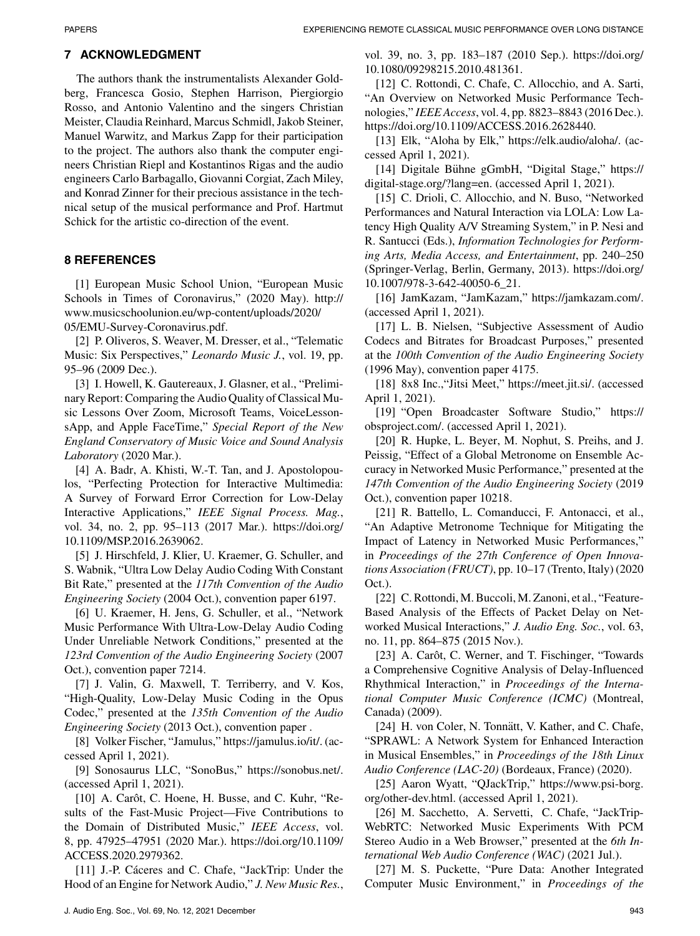# **7 ACKNOWLEDGMENT**

The authors thank the instrumentalists Alexander Goldberg, Francesca Gosio, Stephen Harrison, Piergiorgio Rosso, and Antonio Valentino and the singers Christian Meister, Claudia Reinhard, Marcus Schmidl, Jakob Steiner, Manuel Warwitz, and Markus Zapp for their participation to the project. The authors also thank the computer engineers Christian Riepl and Kostantinos Rigas and the audio engineers Carlo Barbagallo, Giovanni Corgiat, Zach Miley, and Konrad Zinner for their precious assistance in the technical setup of the musical performance and Prof. Hartmut Schick for the artistic co-direction of the event.

# **8 REFERENCES**

[1] European Music School Union, "European Music Schools in Times of Coronavirus," (2020 May). [http://](http://www.musicschoolunion.eu/wp-content/uploads/2020/05/EMU-Survey-Coronavirus.pdf) [www.musicschoolunion.eu/wp-content/uploads/2020/](http://www.musicschoolunion.eu/wp-content/uploads/2020/05/EMU-Survey-Coronavirus.pdf) [05/EMU-Survey-Coronavirus.pdf.](http://www.musicschoolunion.eu/wp-content/uploads/2020/05/EMU-Survey-Coronavirus.pdf)

[2] P. Oliveros, S. Weaver, M. Dresser, et al., "Telematic Music: Six Perspectives," *Leonardo Music J.*, vol. 19, pp. 95–96 (2009 Dec.).

[3] I. Howell, K. Gautereaux, J. Glasner, et al., "Preliminary Report: Comparing the Audio Quality of Classical Music Lessons Over Zoom, Microsoft Teams, VoiceLessonsApp, and Apple FaceTime," *Special Report of the New England Conservatory of Music Voice and Sound Analysis Laboratory* (2020 Mar.).

[4] A. Badr, A. Khisti, W.-T. Tan, and J. Apostolopoulos, "Perfecting Protection for Interactive Multimedia: A Survey of Forward Error Correction for Low-Delay Interactive Applications," *IEEE Signal Process. Mag.*, vol. 34, no. 2, pp. 95–113 (2017 Mar.). [https://doi.org/](https://doi.org/10.1109/MSP.2016.2639062) [10.1109/MSP.2016.2639062.](https://doi.org/10.1109/MSP.2016.2639062)

[5] J. Hirschfeld, J. Klier, U. Kraemer, G. Schuller, and S. Wabnik, "Ultra Low Delay Audio Coding With Constant Bit Rate," presented at the *117th Convention of the Audio Engineering Society* (2004 Oct.), convention paper 6197.

[6] U. Kraemer, H. Jens, G. Schuller, et al., "Network Music Performance With Ultra-Low-Delay Audio Coding Under Unreliable Network Conditions," presented at the *123rd Convention of the Audio Engineering Society* (2007 Oct.), convention paper 7214.

[7] J. Valin, G. Maxwell, T. Terriberry, and V. Kos, "High-Quality, Low-Delay Music Coding in the Opus Codec," presented at the *135th Convention of the Audio Engineering Society* (2013 Oct.), convention paper .

[8] Volker Fischer, "Jamulus," [https://jamulus.io/it/.](https://jamulus.io/it/) (accessed April 1, 2021).

[9] Sonosaurus LLC, "SonoBus," [https://sonobus.net/.](https://sonobus.net/) (accessed April 1, 2021).

 $[10]$  A. Carôt, C. Hoene, H. Busse, and C. Kuhr, "Results of the Fast-Music Project—Five Contributions to the Domain of Distributed Music," *IEEE Access*, vol. 8, pp. 47925–47951 (2020 Mar.). [https://doi.org/10.1109/](https://doi.org/10.1109/ACCESS.2020.2979362) [ACCESS.2020.2979362.](https://doi.org/10.1109/ACCESS.2020.2979362)

[11] J.-P. Cáceres and C. Chafe, "JackTrip: Under the Hood of an Engine for Network Audio," *J. New Music Res.*, vol. 39, no. 3, pp. 183–187 (2010 Sep.). [https://doi.org/](https://doi.org/10.1080/09298215.2010.481361) [10.1080/09298215.2010.481361.](https://doi.org/10.1080/09298215.2010.481361)

[12] C. Rottondi, C. Chafe, C. Allocchio, and A. Sarti, "An Overview on Networked Music Performance Technologies," *IEEE Access*, vol. 4, pp. 8823–8843 (2016 Dec.). [https://doi.org/10.1109/ACCESS.2016.2628440.](https://doi.org/10.1109/ACCESS.2016.2628440)

[13] Elk, "Aloha by Elk," [https://elk.audio/aloha/.](https://elk.audio/aloha/) (accessed April 1, 2021).

[14] Digitale Bühne gGmbH, "Digital Stage," [https://](https://digital-stage.org/?lang=en) [digital-stage.org/?lang=en.](https://digital-stage.org/?lang=en) (accessed April 1, 2021).

[15] C. Drioli, C. Allocchio, and N. Buso, "Networked Performances and Natural Interaction via LOLA: Low Latency High Quality A/V Streaming System," in P. Nesi and R. Santucci (Eds.), *Information Technologies for Performing Arts, Media Access, and Entertainment*, pp. 240–250 (Springer-Verlag, Berlin, Germany, 2013). [https://doi.org/](https://doi.org/10.1007/978-3-642-40050-6egingroup count@ "005F
elax 
elax uccode `~count@ uppercase {gdef {${sim }{}$}}endgroup setbox 0hbox {}dimen z@ ht z@ 21) [10.1007/978-3-642-40050-6\\_21.](https://doi.org/10.1007/978-3-642-40050-6egingroup count@ "005F
elax 
elax uccode `~count@ uppercase {gdef {${sim }{}$}}endgroup setbox 0hbox {}dimen z@ ht z@ 21)

[16] JamKazam, "JamKazam," [https://jamkazam.com/.](https://jamkazam.com/) (accessed April 1, 2021).

[17] L. B. Nielsen, "Subjective Assessment of Audio Codecs and Bitrates for Broadcast Purposes," presented at the *100th Convention of the Audio Engineering Society* (1996 May), convention paper 4175.

[18] 8x8 Inc.,"Jitsi Meet," [https://meet.jit.si/.](https://meet.jit.si/) (accessed April 1, 2021).

[19] "Open Broadcaster Software Studio," [https://](https://obsproject.com/) [obsproject.com/.](https://obsproject.com/) (accessed April 1, 2021).

[20] R. Hupke, L. Beyer, M. Nophut, S. Preihs, and J. Peissig, "Effect of a Global Metronome on Ensemble Accuracy in Networked Music Performance," presented at the *147th Convention of the Audio Engineering Society* (2019 Oct.), convention paper 10218.

[21] R. Battello, L. Comanducci, F. Antonacci, et al., "An Adaptive Metronome Technique for Mitigating the Impact of Latency in Networked Music Performances," in *Proceedings of the 27th Conference of Open Innovations Association (FRUCT)*, pp. 10–17 (Trento, Italy) (2020 Oct.).

[22] C. Rottondi, M. Buccoli, M. Zanoni, et al., "Feature-Based Analysis of the Effects of Packet Delay on Networked Musical Interactions," *J. Audio Eng. Soc.*, vol. 63, no. 11, pp. 864–875 (2015 Nov.).

[23] A. Carôt, C. Werner, and T. Fischinger, "Towards a Comprehensive Cognitive Analysis of Delay-Influenced Rhythmical Interaction," in *Proceedings of the International Computer Music Conference (ICMC)* (Montreal, Canada) (2009).

[24] H. von Coler, N. Tonnätt, V. Kather, and C. Chafe, "SPRAWL: A Network System for Enhanced Interaction in Musical Ensembles," in *Proceedings of the 18th Linux Audio Conference (LAC-20)* (Bordeaux, France) (2020).

[25] Aaron Wyatt, "QJackTrip," [https://www.psi-borg.](https://www.psi-borg.org/other-dev.html) [org/other-dev.html.](https://www.psi-borg.org/other-dev.html) (accessed April 1, 2021).

[26] M. Sacchetto, A. Servetti, C. Chafe, "JackTrip-WebRTC: Networked Music Experiments With PCM Stereo Audio in a Web Browser," presented at the *6th International Web Audio Conference (WAC)* (2021 Jul.).

[27] M. S. Puckette, "Pure Data: Another Integrated Computer Music Environment," in *Proceedings of the*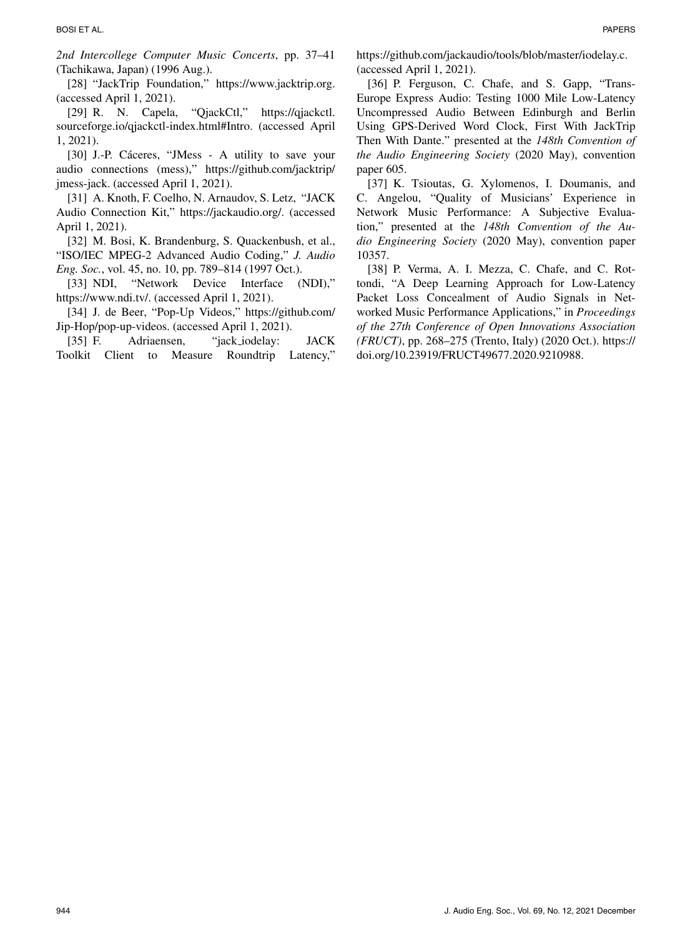[28] "JackTrip Foundation," [https://www.jacktrip.org.](https://www.jacktrip.org) (accessed April 1, 2021).

[29] R. N. Capela, "QjackCtl," [https://qjackctl.](https://qjackctl.sourceforge.io/qjackctl-index.html#Intro) [sourceforge.io/qjackctl-index.html#Intro.](https://qjackctl.sourceforge.io/qjackctl-index.html#Intro) (accessed April 1, 2021).

[30] J.-P. Cáceres, "JMess - A utility to save your audio connections (mess)," [https://github.com/jacktrip/](https://github.com/jacktrip/jmess-jack) [jmess-jack.](https://github.com/jacktrip/jmess-jack) (accessed April 1, 2021).

[31] A. Knoth, F. Coelho, N. Arnaudov, S. Letz, "JACK Audio Connection Kit," [https://jackaudio.org/.](https://jackaudio.org/) (accessed April 1, 2021).

[32] M. Bosi, K. Brandenburg, S. Quackenbush, et al., "ISO/IEC MPEG-2 Advanced Audio Coding," *J. Audio Eng. Soc.*, vol. 45, no. 10, pp. 789–814 (1997 Oct.).

[33] NDI, "Network Device Interface (NDI)," [https://www.ndi.tv/.](https://www.ndi.tv/) (accessed April 1, 2021).

[34] J. de Beer, "Pop-Up Videos," [https://github.com/](https://github.com/Jip-Hop/pop-up-videos) [Jip-Hop/pop-up-videos.](https://github.com/Jip-Hop/pop-up-videos) (accessed April 1, 2021).

[35] F. Adriaensen, "jack iodelay: JACK Toolkit Client to Measure Roundtrip Latency,"

[https://github.com/jackaudio/tools/blob/master/iodelay.c.](https://github.com/jackaudio/tools/blob/master/iodelay.c) (accessed April 1, 2021).

[36] P. Ferguson, C. Chafe, and S. Gapp, "Trans-Europe Express Audio: Testing 1000 Mile Low-Latency Uncompressed Audio Between Edinburgh and Berlin Using GPS-Derived Word Clock, First With JackTrip Then With Dante." presented at the *148th Convention of the Audio Engineering Society* (2020 May), convention paper 605.

[37] K. Tsioutas, G. Xylomenos, I. Doumanis, and C. Angelou, "Quality of Musicians' Experience in Network Music Performance: A Subjective Evaluation," presented at the *148th Convention of the Audio Engineering Society* (2020 May), convention paper 10357.

[38] P. Verma, A. I. Mezza, C. Chafe, and C. Rottondi, "A Deep Learning Approach for Low-Latency Packet Loss Concealment of Audio Signals in Networked Music Performance Applications," in *Proceedings of the 27th Conference of Open Innovations Association (FRUCT)*, pp. 268–275 (Trento, Italy) (2020 Oct.). [https://](https://doi.org/10.23919/FRUCT49677.2020.9210988) [doi.org/10.23919/FRUCT49677.2020.9210988.](https://doi.org/10.23919/FRUCT49677.2020.9210988)